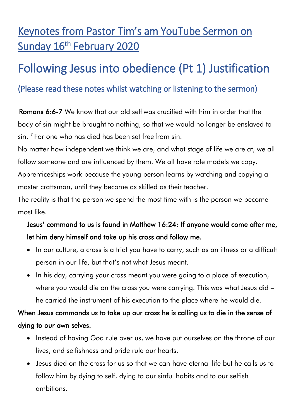## Keynotes from Pastor Tim's am YouTube Sermon on Sunday 16<sup>th</sup> February 2020

# Following Jesus into obedience (Pt 1) Justification

### (Please read these notes whilst watching or listening to the sermon)

Romans 6:6-7 We know that our old self was crucified with him in order that the body of sin might be brought to nothing, so that we would no longer be enslaved to sin. <sup>7</sup> For one who has died has been set free from sin.

No matter how independent we think we are, and what stage of life we are at, we all follow someone and are influenced by them. We all have role models we copy. Apprenticeships work because the young person learns by watching and copying a master craftsman, until they become as skilled as their teacher.

The reality is that the person we spend the most time with is the person we become most like.

### Jesus' command to us is found in Matthew 16:24: If anyone would come after me, let him deny himself and take up his cross and follow me.

- In our culture, a cross is a trial you have to carry, such as an illness or a difficult person in our life, but that's not what Jesus meant.
- In his day, carrying your cross meant you were going to a place of execution, where you would die on the cross you were carrying. This was what Jesus did – he carried the instrument of his execution to the place where he would die.

## When Jesus commands us to take up our cross he is calling us to die in the sense of dying to our own selves.

- Instead of having God rule over us, we have put ourselves on the throne of our lives, and selfishness and pride rule our hearts.
- Jesus died on the cross for us so that we can have eternal life but he calls us to follow him by dying to self, dying to our sinful habits and to our selfish ambitions.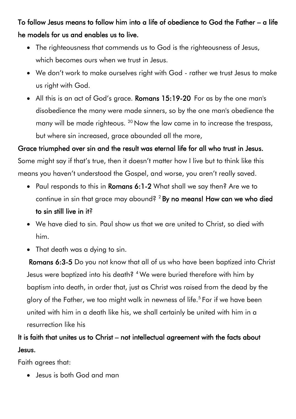To follow Jesus means to follow him into a life of obedience to God the Father – a life he models for us and enables us to live.

- The righteousness that commends us to God is the righteousness of Jesus, which becomes ours when we trust in Jesus.
- We don't work to make ourselves right with God rather we trust Jesus to make us right with God.
- All this is an act of God's grace. **Romans 15:19-20** For as by the one man's disobedience the many were made sinners, so by the one man's obedience the many will be made righteous. <sup>20</sup> Now the law came in to increase the trespass, but where sin increased, grace abounded all the more,

#### Grace triumphed over sin and the result was eternal life for all who trust in Jesus.

Some might say if that's true, then it doesn't matter how I live but to think like this means you haven't understood the Gospel, and worse, you aren't really saved.

- Paul responds to this in Romans 6:1-2 What shall we say then? Are we to continue in sin that grace may abound? <sup>2</sup> By no means! How can we who died to sin still live in it?
- We have died to sin. Paul show us that we are united to Christ, so died with him.
- That death was a dying to sin.

Romans 6:3-5 Do you not know that all of us who have been baptized into Christ Jesus were baptized into his death? <sup>4</sup> We were buried therefore with him by baptism into death, in order that, just as Christ was raised from the dead by the glory of the Father, we too might walk in newness of life.<sup>5</sup> For if we have been united with him in a death like his, we shall certainly be united with him in a resurrection like his

## It is faith that unites us to Christ – not intellectual agreement with the facts about Jesus.

Faith agrees that:

Jesus is both God and man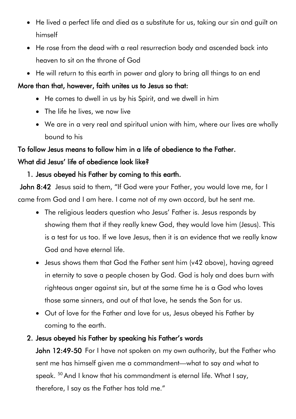- He lived a perfect life and died as a substitute for us, taking our sin and guilt on himself
- He rose from the dead with a real resurrection body and ascended back into heaven to sit on the throne of God
- He will return to this earth in power and glory to bring all things to an end

### More than that, however, faith unites us to Jesus so that:

- He comes to dwell in us by his Spirit, and we dwell in him
- The life he lives, we now live
- We are in a very real and spiritual union with him, where our lives are wholly bound to his

## To follow Jesus means to follow him in a life of obedience to the Father.

### What did Jesus' life of obedience look like?

1. Jesus obeyed his Father by coming to this earth.

John 8:42 Jesus said to them, "If God were your Father, you would love me, for I came from God and I am here. I came not of my own accord, but he sent me.

- The religious leaders question who Jesus' Father is. Jesus responds by showing them that if they really knew God, they would love him (Jesus). This is a test for us too. If we love Jesus, then it is an evidence that we really know God and have eternal life.
- Jesus shows them that God the Father sent him (v42 above), having agreed in eternity to save a people chosen by God. God is holy and does burn with righteous anger against sin, but at the same time he is a God who loves those same sinners, and out of that love, he sends the Son for us.
- Out of love for the Father and love for us, Jesus obeyed his Father by coming to the earth.

### 2. Jesus obeyed his Father by speaking his Father's words

John 12:49-50 For I have not spoken on my own authority, but the Father who sent me has himself given me a commandment—what to say and what to speak. <sup>50</sup> And I know that his commandment is eternal life. What I say, therefore, I say as the Father has told me."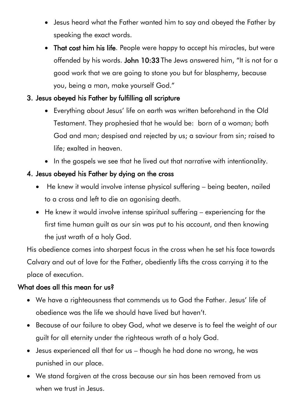- Jesus heard what the Father wanted him to say and obeyed the Father by speaking the exact words.
- That cost him his life. People were happy to accept his miracles, but were offended by his words. John 10:33 The Jews answered him, "It is not for a good work that we are going to stone you but for blasphemy, because you, being a man, make yourself God."

### 3. Jesus obeyed his Father by fulfilling all scripture

- Everything about Jesus' life on earth was written beforehand in the Old Testament. They prophesied that he would be: born of a woman; both God and man; despised and rejected by us; a saviour from sin; raised to life; exalted in heaven.
- In the gospels we see that he lived out that narrative with intentionality.

### 4. Jesus obeyed his Father by dying on the cross

- He knew it would involve intense physical suffering being beaten, nailed to a cross and left to die an agonising death.
- He knew it would involve intense spiritual suffering experiencing for the first time human guilt as our sin was put to his account, and then knowing the just wrath of a holy God.

His obedience comes into sharpest focus in the cross when he set his face towards Calvary and out of love for the Father, obediently lifts the cross carrying it to the place of execution.

#### What does all this mean for us?

- We have a righteousness that commends us to God the Father. Jesus' life of obedience was the life we should have lived but haven't.
- Because of our failure to obey God, what we deserve is to feel the weight of our guilt for all eternity under the righteous wrath of a holy God.
- Jesus experienced all that for us though he had done no wrong, he was punished in our place.
- We stand forgiven at the cross because our sin has been removed from us when we trust in Jesus.